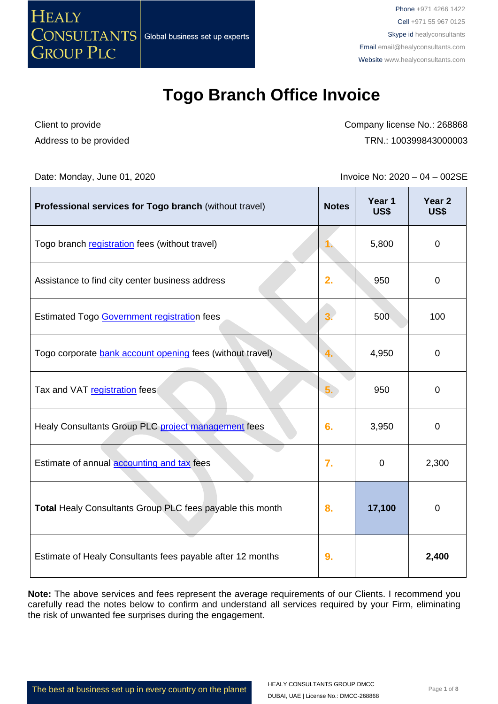

# **Togo Branch Office Invoice**

Client to provide Address to be provided Company license No.: 268868 TRN.: 100399843000003

Date: Monday, June 01, 2020 **Invoice No: 2020** – 04 – 002SE

| Professional services for Togo branch (without travel)           | <b>Notes</b> | Year 1<br>US\$ | Year <sub>2</sub><br>US\$ |
|------------------------------------------------------------------|--------------|----------------|---------------------------|
| Togo branch registration fees (without travel)                   |              | 5,800          | $\mathbf 0$               |
| Assistance to find city center business address                  | 2.           | 950            | $\mathbf 0$               |
| Estimated Togo Government registration fees                      |              | 500            | 100                       |
| Togo corporate bank account opening fees (without travel)        |              | 4,950          | $\mathbf 0$               |
| Tax and VAT registration fees                                    |              | 950            | 0                         |
| Healy Consultants Group PLC project management fees              | 6.           | 3,950          | 0                         |
| Estimate of annual accounting and tax fees                       | 7.           | 0              | 2,300                     |
| <b>Total Healy Consultants Group PLC fees payable this month</b> | 8.           | 17,100         | 0                         |
| Estimate of Healy Consultants fees payable after 12 months       | 9.           |                | 2,400                     |

**Note:** The above services and fees represent the average requirements of our Clients. I recommend you carefully read the notes below to confirm and understand all services required by your Firm, eliminating the risk of unwanted fee surprises during the engagement.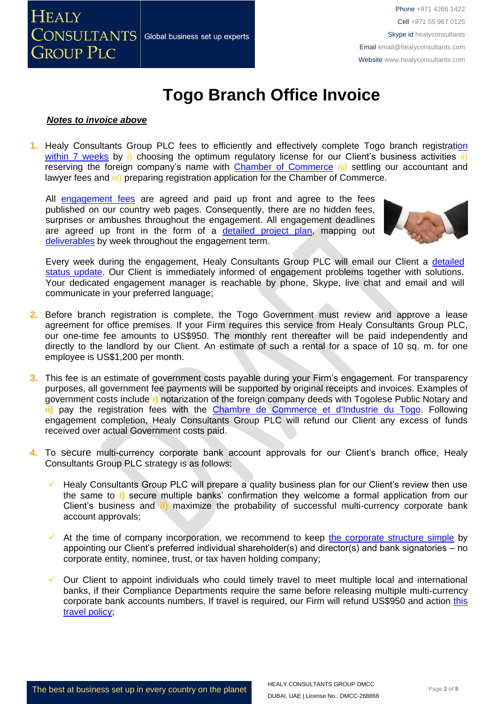

# **Togo Branch Office Invoice**

#### *Notes to invoice above*

**1.** Healy Consultants Group PLC fees to efficiently and effectively complete Togo branch registrat[ion](http://www.healyconsultants.com/togo-company-registration/fees-timelines/) within 7 [weeks](http://www.healyconsultants.com/togo-company-registration/fees-timelines/) by i) choosing the optimum regulatory license for our Client's business activities ii) reserving the foreign company's name with [Chamber of Commerce](http://www.ccit.tg/) iii) settling our accountant and lawyer fees and iv) preparing registration application for the Chamber of Commerce.

All [engagement fees](http://www.healyconsultants.com/company-registration-fees/) are agreed and paid up front and agree to the fees published on our country web pages. Consequently, there are no hidden fees, surprises or ambushes throughout the engagement. All engagement deadlines are agreed up front in the form of a [detailed project plan,](http://www.healyconsultants.com/index-important-links/example-project-plan/) mapping out [deliverables](http://www.healyconsultants.com/deliverables-to-our-clients/) by week throughout the engagement term.



Every week during the engagement, Healy Consultants Group PLC will email our Client a [detailed](http://www.healyconsultants.com/index-important-links/weekly-engagement-status-email/)  [status update.](http://www.healyconsultants.com/index-important-links/weekly-engagement-status-email/) Our Client is immediately informed of engagement problems together with solutions. Your dedicated engagement manager is reachable by phone, Skype, live chat and email and will communicate in your preferred language;

- **2.** Before branch registration is complete, the Togo Government must review and approve a lease agreement for office premises. If your Firm requires this service from Healy Consultants Group PLC, our one-time fee amounts to US\$950. The monthly rent thereafter will be paid independently and directly to the landlord by our Client. An estimate of such a rental for a space of 10 sq. m. for one employee is US\$1,200 per month.
- **3.** This fee is an estimate of government costs payable during your Firm's engagement. For transparency purposes, all government fee payments will be supported by original receipts and invoices. Examples of government costs include **i)** notarization of the foreign company deeds with Togolese Public Notary and **ii)** pay the registration fees with the [Chambre de Commerce et d'Industrie du Togo.](http://www.ccit.tg/) Following engagement completion, Healy Consultants Group PLC will refund our Client any excess of funds received over actual Government costs paid.
- **4.** To secure multi-currency corporate bank account approvals for our Client's branch office, Healy Consultants Group PLC strategy is as follows:
	- Healy Consultants Group PLC will prepare a quality business plan for our Client's review then use the same to **i)** secure multiple banks' confirmation they welcome a formal application from our Client's business and **ii)** maximize the probability of successful multi-currency corporate bank account approvals;
	- At the time of company incorporation, we recommend to keep [the corporate structure simple](https://www.healyconsultants.com/about-us/complex-client-engagements/simplify-business-setup/) by appointing our Client's preferred individual shareholder(s) and director(s) and bank signatories – no corporate entity, nominee, trust, or tax haven holding company;
	- Our Client to appoint individuals who could timely travel to meet multiple local and international banks, if their Compliance Departments require the same before releasing multiple multi-currency corporate bank accounts numbers. If travel is required, our Firm will refund US\$950 and action [this](https://www.healyconsultants.com/index-important-links/clients-travel-engagement/)  [travel policy;](https://www.healyconsultants.com/index-important-links/clients-travel-engagement/)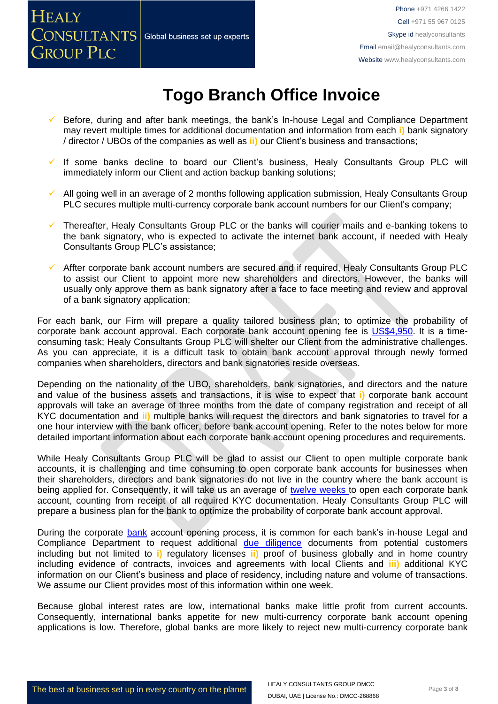# **HEALY CONSULTANTS** Global business set up experts **GROUP PLC**

# **Togo Branch Office Invoice**

- Before, during and after bank meetings, the bank's In-house Legal and Compliance Department may revert multiple times for additional documentation and information from each **i)** bank signatory / director / UBOs of the companies as well as **ii)** our Client's business and transactions;
- ✓ If some banks decline to board our Client's business, Healy Consultants Group PLC will immediately inform our Client and action backup banking solutions;
- ✓ All going well in an average of 2 months following application submission, Healy Consultants Group PLC secures multiple multi-currency corporate bank account numbers for our Client's company;
- Thereafter, Healy Consultants Group PLC or the banks will courier mails and e-banking tokens to the bank signatory, who is expected to activate the internet bank account, if needed with Healy Consultants Group PLC's assistance;
- ✓ Affter corporate bank account numbers are secured and if required, Healy Consultants Group PLC to assist our Client to appoint more new shareholders and directors. However, the banks will usually only approve them as bank signatory after a face to face meeting and review and approval of a bank signatory application;

For each bank, our Firm will prepare a quality tailored business plan; to optimize the probability of corporate bank account approval. Each corporate bank account opening fee is [US\\$4,950.](https://www.healyconsultants.com/global-corporate-banking-for-resident-company/) It is a timeconsuming task; Healy Consultants Group PLC will shelter our Client from the administrative challenges. As you can appreciate, it is a difficult task to obtain bank account approval through newly formed companies when shareholders, directors and bank signatories reside overseas.

Depending on the nationality of the UBO, shareholders, bank signatories, and directors and the nature and value of the business assets and transactions, it is wise to expect that **i)** corporate bank account approvals will take an average of three months from the date of company registration and receipt of all KYC documentation and **ii)** multiple banks will request the directors and bank signatories to travel for a one hour interview with the bank officer, before bank account opening. Refer to the notes below for more detailed important information about each corporate bank account opening procedures and requirements.

While Healy Consultants Group PLC will be glad to assist our Client to open multiple corporate bank accounts, it is challenging and time consuming to open corporate bank accounts for businesses when their shareholders, directors and bank signatories do not live in the country where the bank account is being applied for. Consequently, it will take us an average of [twelve weeks](http://www.healyconsultants.com/international-banking/bitcoin-business-bank-account/) to open each corporate bank account, counting from receipt of all required KYC documentation. Healy Consultants Group PLC will prepare a business plan for the bank to optimize the probability of corporate bank account approval.

During the corporate bank account opening process, it is common for each bank's in-house Legal and Compliance Department to request additional [due diligence](http://www.healyconsultants.com/due-diligence/) documents from potential customers including but not limited to **i)** regulatory licenses **ii)** proof of business globally and in home country including evidence of contracts, invoices and agreements with local Clients and **iii)** additional KYC information on our Client's business and place of residency, including nature and volume of transactions. We assume our Client provides most of this information within one week.

Because global interest rates are low, international banks make little profit from current accounts. Consequently, international banks appetite for new multi-currency corporate bank account opening applications is low. Therefore, global banks are more likely to reject new multi-currency corporate bank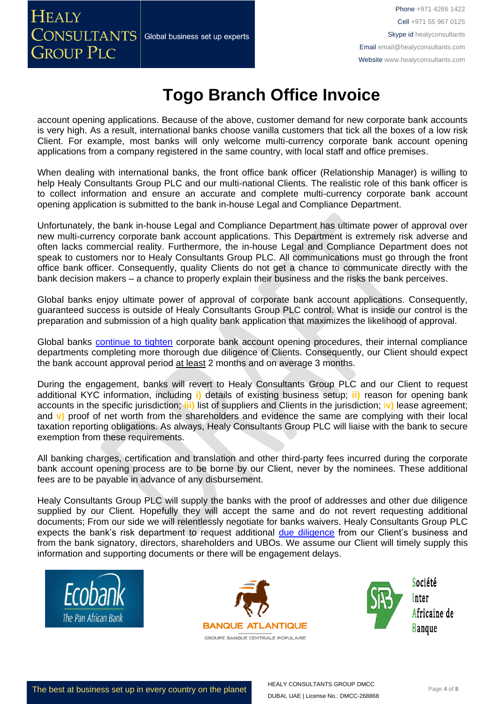# **HEALY**  $\overline{\text{CONSULTANTS}}\vert$  Global business set up experts **GROUP PLC**

Phone +971 4266 1422 Cell +971 55 967 0125 Skype id healyconsultants Email [email@healyconsultants.com](mailto:EMAIL@HEALYCONSULTANTS.COM) Website [www.healyconsultants.com](http://www.healyconsultants.com/)

## **Togo Branch Office Invoice**

account opening applications. Because of the above, customer demand for new corporate bank accounts is very high. As a result, international banks choose vanilla customers that tick all the boxes of a low risk Client. For example, most banks will only welcome multi-currency corporate bank account opening applications from a company registered in the same country, with local staff and office premises.

When dealing with international banks, the front office bank officer (Relationship Manager) is willing to help Healy Consultants Group PLC and our multi-national Clients. The realistic role of this bank officer is to collect information and ensure an accurate and complete multi-currency corporate bank account opening application is submitted to the bank in-house Legal and Compliance Department.

Unfortunately, the bank in-house Legal and Compliance Department has ultimate power of approval over new multi-currency corporate bank account applications. This Department is extremely risk adverse and often lacks commercial reality. Furthermore, the in-house Legal and Compliance Department does not speak to customers nor to Healy Consultants Group PLC. All communications must go through the front office bank officer. Consequently, quality Clients do not get a chance to communicate directly with the bank decision makers – a chance to properly explain their business and the risks the bank perceives.

Global banks enjoy ultimate power of approval of corporate bank account applications. Consequently, guaranteed success is outside of Healy Consultants Group PLC control. What is inside our control is the preparation and submission of a high quality bank application that maximizes the likelihood of approval.

Global banks [continue to tighten](https://www.healyconsultants.com/international-banking/opening-corporate-bank-accounts/) corporate bank account opening procedures, their internal compliance departments completing more thorough due diligence of Clients. Consequently, our Client should expect the bank account approval period at least 2 months and on average 3 months.

During the engagement, banks will revert to Healy Consultants Group PLC and our Client to request additional KYC information, including **i)** details of existing business setup; **ii)** reason for opening bank accounts in the specific jurisdiction; **iii)** list of suppliers and Clients in the jurisdiction; i**v)** lease agreement; and **v)** proof of net worth from the shareholders and evidence the same are complying with their local taxation reporting obligations. As always, Healy Consultants Group PLC will liaise with the bank to secure exemption from these requirements.

All banking charges, certification and translation and other third-party fees incurred during the corporate bank account opening process are to be borne by our Client, never by the nominees. These additional fees are to be payable in advance of any disbursement.

Healy Consultants Group PLC will supply the banks with the proof of addresses and other due diligence supplied by our Client. Hopefully they will accept the same and do not revert requesting additional documents; From our side we will relentlessly negotiate for banks waivers. Healy Consultants Group PLC expects the bank's risk department to request additional [due diligence](http://www.healyconsultants.com/due-diligence/) from our Client's business and from the bank signatory, directors, shareholders and UBOs. We assume our Client will timely supply this information and supporting documents or there will be engagement delays.







Inter Africaine de **Banque**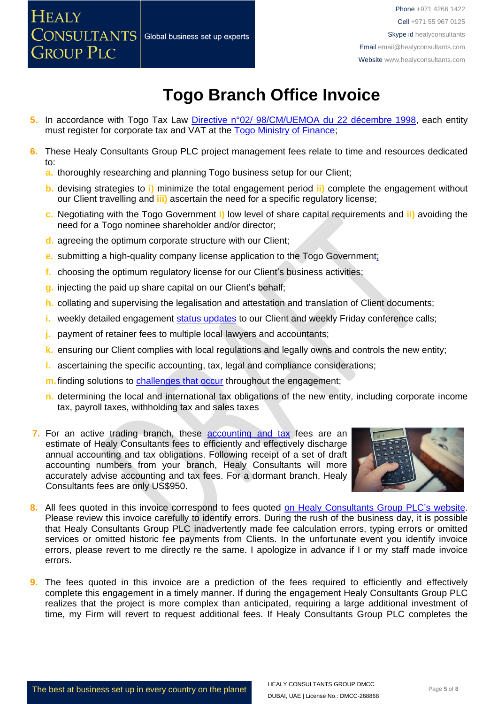**HEALY CONSULTANTS** Global business set up experts **GROUP PLC** 

# **Togo Branch Office Invoice**

- **5.** In accordance with Togo Tax Law [Directive n°02/ 98/CM/UEMOA du 22 décembre 1998,](http://www.droit-afrique.com/images/textes/Afrique_Ouest/UEMOA%20-%20Directive%20TVA.pdf) each entity must register for corporate tax and VAT at the Togo [Ministry of Finance;](http://www.republicoftogo.com/Toutes-les-rubriques/Finances)
- **6.** These Healy Consultants Group PLC project management fees relate to time and resources dedicated to:
	- **a.** thoroughly researching and planning Togo business setup for our Client;
	- **b.** devising strategies to **i)** minimize the total engagement period **ii)** complete the engagement without our Client travelling and **iii)** ascertain the need for a specific regulatory license;
	- **c.** Negotiating with the Togo Government **i)** low level of share capital requirements and **ii)** avoiding the need for a Togo nominee shareholder and/or director;
	- **d.** agreeing the optimum corporate structure with our Client;
	- **e.** submitting a high-quality company license application to the Togo Government;
	- **f.** choosing the optimum regulatory license for our Client's business activities;
	- **g.** injecting the paid up share capital on our Client's behalf;
	- **h.** collating and supervising the legalisation and attestation and translation of Client documents;
	- **i.** weekly detailed engagement [status updates](http://www.healyconsultants.com/index-important-links/weekly-engagement-status-email/) to our Client and weekly Friday conference calls:
	- **j.** payment of retainer fees to multiple local lawyers and accountants;
	- **k.** ensuring our Client complies with local regulations and legally owns and controls the new entity;
	- **l.** ascertaining the specific accounting, tax, legal and compliance considerations;
	- **m.** finding solutions to [challenges that occur](http://www.healyconsultants.com/engagement-project-management/) throughout the engagement;
	- **n.** determining the local and international tax obligations of the new entity, including corporate income tax, payroll taxes, withholding tax and sales taxes
- **7.** For an active trading branch, these accounting and tax fees are an estimate of Healy Consultants fees to efficiently and effectively discharge annual accounting and tax obligations. Following receipt of a set of draft accounting numbers from your branch, Healy Consultants will more accurately advise accounting and tax fees. For a dormant branch, Healy Consultants fees are only US\$950.



- 8. All fees quoted in this invoice correspond to fees quoted [on Healy Consultants Group PLC's](http://www.healyconsultants.com/company-registration-fees/) website. Please review this invoice carefully to identify errors. During the rush of the business day, it is possible that Healy Consultants Group PLC inadvertently made fee calculation errors, typing errors or omitted services or omitted historic fee payments from Clients. In the unfortunate event you identify invoice errors, please revert to me directly re the same. I apologize in advance if I or my staff made invoice errors.
- **9.** The fees quoted in this invoice are a prediction of the fees required to efficiently and effectively complete this engagement in a timely manner. If during the engagement Healy Consultants Group PLC realizes that the project is more complex than anticipated, requiring a large additional investment of time, my Firm will revert to request additional fees. If Healy Consultants Group PLC completes the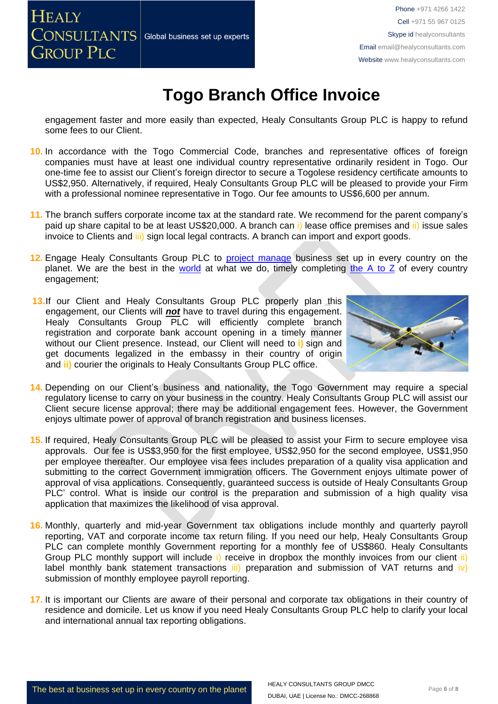**HEALY**  $\sqrt{\text{CNNULTANTS}}$  Global business set up experts **GROUP PLC** 

# **Togo Branch Office Invoice**

engagement faster and more easily than expected, Healy Consultants Group PLC is happy to refund some fees to our Client.

- **10.** In accordance with the Togo Commercial Code, branches and representative offices of foreign companies must have at least one individual country representative ordinarily resident in Togo. Our one-time fee to assist our Client's foreign director to secure a Togolese residency certificate amounts to US\$2,950. Alternatively, if required, Healy Consultants Group PLC will be pleased to provide your Firm with a professional nominee representative in Togo. Our fee amounts to US\$6,600 per annum.
- **11.** The branch suffers corporate income tax at the standard rate. We recommend for the parent company's paid up share capital to be at least US\$20,000. A branch can i) lease office premises and ii) issue sales invoice to Clients and iii) sign local legal contracts. A branch can import and export goods.
- 12. Engage Healy Consultants Group PLC to **project manage** business set up in every country on the planet. We are the best in the [world](http://www.healyconsultants.com/best-in-the-world/) at what we do, timely completing [the A to Z](http://www.healyconsultants.com/a-to-z-of-business-set-up/) of every country engagement;
- 13.If our Client and Healy Consultants Group PLC properly plan this engagement, our Clients will *not* have to travel during this engagement. Healy Consultants Group PLC will efficiently complete branch registration and corporate bank account opening in a timely manner without our Client presence. Instead, our Client will need to **i)** sign and get documents legalized in the embassy in their country of origin and **ii)** courier the originals to Healy Consultants Group PLC office.



- **14.** Depending on our Client's business and nationality, the Togo Government may require a special regulatory license to carry on your business in the country. Healy Consultants Group PLC will assist our Client secure license approval; there may be additional engagement fees. However, the Government enjoys ultimate power of approval of branch registration and business licenses.
- **15.** If required, Healy Consultants Group PLC will be pleased to assist your Firm to secure employee visa approvals. Our fee is US\$3,950 for the first employee, US\$2,950 for the second employee, US\$1,950 per employee thereafter. Our employee visa fees includes preparation of a quality visa application and submitting to the correct Government immigration officers. The Government enjoys ultimate power of approval of visa applications. Consequently, guaranteed success is outside of Healy Consultants Group PLC' control. What is inside our control is the preparation and submission of a high quality visa application that maximizes the likelihood of visa approval.
- **16.** Monthly, quarterly and mid-year Government tax obligations include monthly and quarterly payroll reporting, VAT and corporate income tax return filing. If you need our help, Healy Consultants Group PLC can complete monthly Government reporting for a monthly fee of US\$860. Healy Consultants Group PLC monthly support will include i) receive in dropbox the monthly invoices from our client ii) label monthly bank statement transactions  $\overline{iii}$  preparation and submission of VAT returns and  $\overline{iv}$ ) submission of monthly employee payroll reporting.
- **17.** It is important our Clients are aware of their personal and corporate tax obligations in their country of residence and domicile. Let us know if you need Healy Consultants Group PLC help to clarify your local and international annual tax reporting obligations.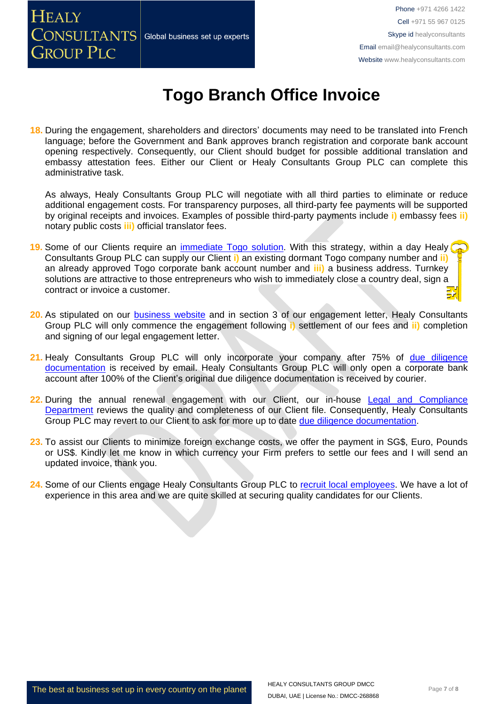**HEALY CONSULTANTS** Global business set up experts **GROUP PLC** 

Phone +971 4266 1422 Cell +971 55 967 0125 Skype id healyconsultants Email [email@healyconsultants.com](mailto:EMAIL@HEALYCONSULTANTS.COM) Website [www.healyconsultants.com](http://www.healyconsultants.com/)

# **Togo Branch Office Invoice**

**18.** During the engagement, shareholders and directors' documents may need to be translated into French language; before the Government and Bank approves branch registration and corporate bank account opening respectively. Consequently, our Client should budget for possible additional translation and embassy attestation fees. Either our Client or Healy Consultants Group PLC can complete this administrative task.

As always, Healy Consultants Group PLC will negotiate with all third parties to eliminate or reduce additional engagement costs. For transparency purposes, all third-party fee payments will be supported by original receipts and invoices. Examples of possible third-party payments include **i)** embassy fees **ii)** notary public costs **iii)** official translator fees.

- **19.** Some of our Clients require an [immediate Togo](http://www.healyconsultants.com/turnkey-solutions/) solution. With this strategy, within a day Healy C Consultants Group PLC can supply our Client **i)** an existing dormant Togo company number and **ii)** an already approved Togo corporate bank account number and **iii)** a business address. Turnkey solutions are attractive to those entrepreneurs who wish to immediately close a country deal, sign a contract or invoice a customer.
- 20. As stipulated on our **business website** and in section 3 of our engagement letter, Healy Consultants Group PLC will only commence the engagement following **i)** settlement of our fees and **ii)** completion and signing of our legal engagement letter.
- 21. Healy Consultants Group PLC will only incorporate your company after 75% of due diligence [documentation](http://www.healyconsultants.com/due-diligence/) is received by email. Healy Consultants Group PLC will only open a corporate bank account after 100% of the Client's original due diligence documentation is received by courier.
- 22. During the annual renewal engagement with our Client, our in-house Legal and Compliance [Department](http://www.healyconsultants.com/about-us/key-personnel/cai-xin-profile/) reviews the quality and completeness of our Client file. Consequently, Healy Consultants Group PLC may revert to our Client to ask for more up to date [due diligence documentation.](http://www.healyconsultants.com/due-diligence/)
- **23.** To assist our Clients to minimize foreign exchange costs, we offer the payment in SG\$, Euro, Pounds or US\$. Kindly let me know in which currency your Firm prefers to settle our fees and I will send an updated invoice, thank you.
- 24. Some of our Clients engage Healy Consultants Group PLC to recruit [local employees.](http://www.healyconsultants.com/corporate-outsourcing-services/how-we-help-our-clients-recruit-quality-employees/) We have a lot of experience in this area and we are quite skilled at securing quality candidates for our Clients.